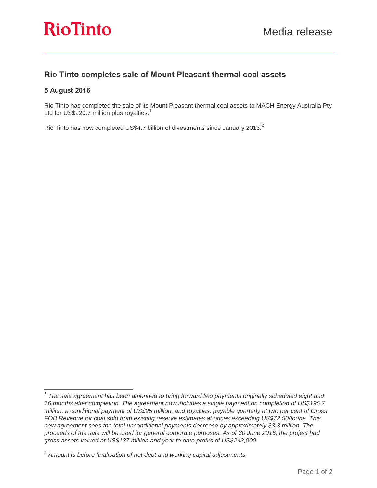## **Rio Tinto completes sale of Mount Pleasant thermal coal assets**

### **5 August 2016**

 $\overline{a}$ 

Rio Tinto has completed the sale of its Mount Pleasant thermal coal assets to MACH Energy Australia Pty Ltd for US\$220.7 million plus royalties.<sup>1</sup>

Rio Tinto has now completed US\$4.7 billion of divestments since January 2013.<sup>2</sup>

<sup>&</sup>lt;sup>1</sup> The sale agreement has been amended to bring forward two payments originally scheduled eight and *16 months after completion. The agreement now includes a single payment on completion of US\$195.7 million, a conditional payment of US\$25 million, and royalties, payable quarterly at two per cent of Gross FOB Revenue for coal sold from existing reserve estimates at prices exceeding US\$72.50/tonne. This new agreement sees the total unconditional payments decrease by approximately \$3.3 million. The proceeds of the sale will be used for general corporate purposes. As of 30 June 2016, the project had gross assets valued at US\$137 million and year to date profits of US\$243,000.*

*<sup>2</sup> Amount is before finalisation of net debt and working capital adjustments.*